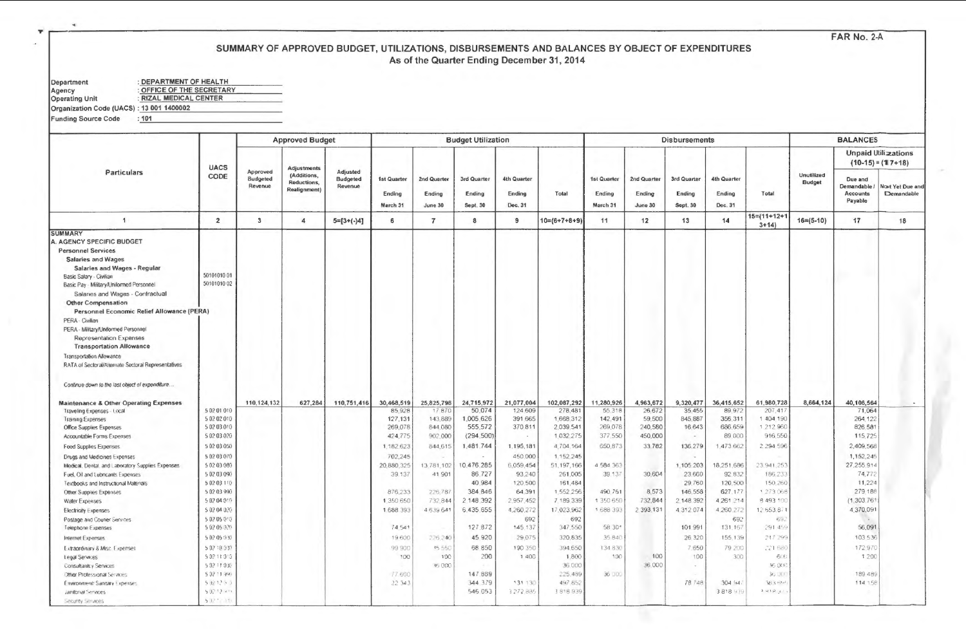FAR No. 2-A

## SUMMARY OF APPROVED BUDGET, UTILIZATIONS, DISBURSEMENTS AND BALANCES BY OBJECT OF EXPENDITURES As of the Quarter Ending December 31, 2014

| Department                               | : DEPARTMENT OF HEALTH    |  |  |  |  |  |  |  |  |  |
|------------------------------------------|---------------------------|--|--|--|--|--|--|--|--|--|
| Agency                                   | : OFFICE OF THE SECRETARY |  |  |  |  |  |  |  |  |  |
| <b>Operating Unit</b>                    | : RIZAL MEDICAL CENTER    |  |  |  |  |  |  |  |  |  |
| Organization Code (UACS): 13 001 1400002 |                           |  |  |  |  |  |  |  |  |  |
| <b>Funding Source Code</b>               | : 101                     |  |  |  |  |  |  |  |  |  |
|                                          |                           |  |  |  |  |  |  |  |  |  |

| <b>UACS</b><br><b>Adjustments</b><br>Approved<br>Particulars<br><b>Adjusted</b><br><b>Unutilized</b><br>(Additions.<br>CODE<br><b>Budgeted</b><br>Budgeted<br>1st Quarter<br>2nd Quarter<br>3rd Quarter<br>4th Quarter<br>1st Quarter<br>2nd Quarter<br>3rd Quarter<br>4th Quarter<br>Due and<br><b>Budget</b><br>Reductions,<br>Revenue<br>Revenue<br><b>Realignment</b> )<br>Ending<br>Ending<br>Ending<br>Ending<br>Ending<br>Ending<br>Total<br>Ending<br>Ending<br>Total<br><b>Accounts</b><br>Payable<br>March 31<br>June 30<br>Sept. 30<br>Dec. 31<br>March 31<br>June 30<br>Sept. 30<br>Dec. 31<br>$15 = (11 + 12 +$<br>$\mathbf{3}$<br>$5=[3+(-)4]$<br>$10=(6+7+8+9)$<br>13<br>$16= (5-10)$<br>17<br>$\overline{1}$<br>$\overline{2}$<br>$\overline{4}$<br>6<br>$\overline{7}$<br>8<br>9<br>11<br>12<br>14<br>$3+14$<br><b>SUMMARY</b><br>A. AGENCY SPECIFIC BUDGET<br><b>Personnel Services</b><br><b>Salaries and Wages</b><br>Salaries and Wages - Regular<br>50101010 01<br>Basic Salary - Civilian<br>50101010 02<br>Basic Pay - Military/Uniformed Personnel<br>Salaries and Wages - Contractual<br><b>Other Compensation</b><br>Personnel Economic Relief Allowance (PERA)<br>PERA - Civilian<br>PERA - Military/Uniformed Personnel<br>Representation Expenses<br><b>Transportation Allowance</b><br><b>Transportation Allowance</b><br>RATA of Sectoral/Aitemate Sectoral Representatives<br>Continue down to the last object of expenditure<br>110, 124, 132<br>627,284<br>110,751,416<br>30,468,519<br>25,825,798<br>24,715,972<br>21,077,004<br>102,087,292<br>11.280,926<br>4,963,672<br>9,320,477<br>36,415,652<br>61,980,728<br>8,664,124<br><b>Maintenance &amp; Other Operating Expenses</b><br>5 02 01 010<br>85,928<br>17.870<br>50,074<br>124,609<br>278,481<br>55,318<br>26,672<br>35.455<br>89.972<br>207,417<br>Traveling Expenses - Local<br>5 02 02 010<br>1,005,626<br>391,665<br>1,668,312<br>142.491<br>59,500<br>845,887<br>356,311<br>1 404 190<br>127,131<br>143,889<br><b>Training Expenses</b><br>5 02 03 010<br>269,078<br>555,572<br>240,580<br>1 212.960<br>844,080<br>370.811<br>2,039.541<br>269,078<br>16.643<br>686,659<br><b>Office Supplies Expenses</b><br>5 02 03 020<br>424,775<br>902.000<br>(294, 500)<br>1,032,275<br>377.550<br>450,000<br>89,000<br>916,550<br>Accountable Forms Expenses<br>$\sim$<br>$\sim$<br>5 02 03 050<br>1.182.623<br>1,481,744<br>1,195,181<br>650,873<br>33.782<br>136,279<br>2 294 596<br>844.615<br>4,704,164<br>1.473 662<br><b>Food Supplies Expenses</b><br>5 02 03 070<br>702,245<br>450,000<br>1.152.245<br>Drugs and Medicines Expenses<br>50203080<br>10.476.285<br>6,059,454<br>51, 197, 166<br>4 584 363<br>1,105.203<br>20,880,325<br>13.781.102<br>18,251,686<br>23,941,253<br>Medical, Dental, and Laboratory Supplies Expenses.<br>5 02 03 090<br>39.137<br>41901<br>86,727<br>93,240<br>261,005<br>39.137<br>30.604<br>23,660<br>92.832<br>186,233<br>Fuel, Oil and Lubricants Expenses<br>40.984<br>5 02 03 110<br>120,500<br>161,484<br>29.760<br>120,500<br>150,260<br>Textbooks and Instructional Materials<br>8,573<br>5 02 03 990<br>384,846<br>64.391<br>1,552,256<br>490.761<br>146,558<br>627,177<br>1 273 068<br>876,233<br>226,787<br>Other Supplies Expenses<br>5 02 04 019<br>2.148.392<br>2.957,452<br>7 189 339<br>1 350 650<br>732,844<br>2.148.392<br>8 493 100<br>1,350,650<br>732,844<br>4.261.214<br>Water Expenses |  | <b>Approved Budget</b> |  | <b>Budget Utilization</b> |  |  | <b>Disbursements</b> |  | <b>BALANCES</b>                                                                                                                                                                                                         |                                                   |
|---------------------------------------------------------------------------------------------------------------------------------------------------------------------------------------------------------------------------------------------------------------------------------------------------------------------------------------------------------------------------------------------------------------------------------------------------------------------------------------------------------------------------------------------------------------------------------------------------------------------------------------------------------------------------------------------------------------------------------------------------------------------------------------------------------------------------------------------------------------------------------------------------------------------------------------------------------------------------------------------------------------------------------------------------------------------------------------------------------------------------------------------------------------------------------------------------------------------------------------------------------------------------------------------------------------------------------------------------------------------------------------------------------------------------------------------------------------------------------------------------------------------------------------------------------------------------------------------------------------------------------------------------------------------------------------------------------------------------------------------------------------------------------------------------------------------------------------------------------------------------------------------------------------------------------------------------------------------------------------------------------------------------------------------------------------------------------------------------------------------------------------------------------------------------------------------------------------------------------------------------------------------------------------------------------------------------------------------------------------------------------------------------------------------------------------------------------------------------------------------------------------------------------------------------------------------------------------------------------------------------------------------------------------------------------------------------------------------------------------------------------------------------------------------------------------------------------------------------------------------------------------------------------------------------------------------------------------------------------------------------------------------------------------------------------------------------------------------------------------------------------------------------------------------------------------------------------------------------------------------------------------------------------------------------------------------------------------------------------------------------------------------------------------------------------------------|--|------------------------|--|---------------------------|--|--|----------------------|--|-------------------------------------------------------------------------------------------------------------------------------------------------------------------------------------------------------------------------|---------------------------------------------------|
|                                                                                                                                                                                                                                                                                                                                                                                                                                                                                                                                                                                                                                                                                                                                                                                                                                                                                                                                                                                                                                                                                                                                                                                                                                                                                                                                                                                                                                                                                                                                                                                                                                                                                                                                                                                                                                                                                                                                                                                                                                                                                                                                                                                                                                                                                                                                                                                                                                                                                                                                                                                                                                                                                                                                                                                                                                                                                                                                                                                                                                                                                                                                                                                                                                                                                                                                                                                                                                             |  |                        |  |                           |  |  |                      |  |                                                                                                                                                                                                                         | <b>Unpaid Utilizations</b><br>$(10-15) = (17+18)$ |
|                                                                                                                                                                                                                                                                                                                                                                                                                                                                                                                                                                                                                                                                                                                                                                                                                                                                                                                                                                                                                                                                                                                                                                                                                                                                                                                                                                                                                                                                                                                                                                                                                                                                                                                                                                                                                                                                                                                                                                                                                                                                                                                                                                                                                                                                                                                                                                                                                                                                                                                                                                                                                                                                                                                                                                                                                                                                                                                                                                                                                                                                                                                                                                                                                                                                                                                                                                                                                                             |  |                        |  |                           |  |  |                      |  | Demandable /                                                                                                                                                                                                            | Nost Yet Due and<br>Demandable                    |
|                                                                                                                                                                                                                                                                                                                                                                                                                                                                                                                                                                                                                                                                                                                                                                                                                                                                                                                                                                                                                                                                                                                                                                                                                                                                                                                                                                                                                                                                                                                                                                                                                                                                                                                                                                                                                                                                                                                                                                                                                                                                                                                                                                                                                                                                                                                                                                                                                                                                                                                                                                                                                                                                                                                                                                                                                                                                                                                                                                                                                                                                                                                                                                                                                                                                                                                                                                                                                                             |  |                        |  |                           |  |  |                      |  |                                                                                                                                                                                                                         | 18                                                |
| 5 02 04 020<br>1 688 393<br>6,435,655<br>4,260,272<br>17,023,962<br>1 688 393<br>2 393 131<br>4.312.074<br>4,260,272<br>12.653.871<br>4639641<br><b>Electricity Expenses</b><br>5 82 05 010<br>692<br>692<br>692<br>69.<br>Postage and Couner Services<br>5 02 05 020<br>74.541<br>127,872<br>145.137<br>347,550<br>58 30*<br>101.991<br>131.167<br>291.45<br>Telephone Expenses<br>5 02 05 030<br>45 920<br>320.835<br>35.840<br>26 320<br>217.296<br>19600<br>226,240<br>29.075<br>155.139<br>Internet Expenses<br>5 02 10 030<br>35.550<br>68 850<br>190 350<br>394.650<br>7.650<br>99 900<br>134.830<br>79,200<br>221,680<br>Extraordinary & Misc. Expenses<br>5 32 11 313<br>100<br>200<br>1 400<br>1,800<br>100<br>100<br>100<br>100<br>300<br>600<br>Legal Services<br>36,000<br>5 02 11 030<br><b>V5000</b><br>36,000<br><b>V5 OCK</b><br>Consultantcy Services<br>$\sim$<br>5.02.11.999<br>147 889<br>225.489<br>36 000<br>77600<br>36 DO<br><b>Other Professional Services</b><br>344, 379<br>497.852<br>502129.9<br>22.343<br>131 130<br>78 748<br>304.94<br><b>183 EM</b><br>Environment/Sanitary Expenses<br>546 053<br>3818939<br>$\lambda \approx 4.0$ $\mu$ ).<br>50212 (19<br>3,272,885<br>3818939<br>Janitorial Services                                                                                                                                                                                                                                                                                                                                                                                                                                                                                                                                                                                                                                                                                                                                                                                                                                                                                                                                                                                                                                                                                                                                                                                                                                                                                                                                                                                                                                                                                                                                                                                                                                                                                                                                                                                                                                                                                                                                                                                                                                                                                                                                                                                                  |  |                        |  |                           |  |  |                      |  | 40,106,564<br>71,064<br>264,122<br>826,581<br>115,725<br>2,409.568<br>1,152,245<br>27,255,914<br>74,772<br>11,224<br>279.188<br>(1,303.761)<br>4,370,091<br>56,091<br>103 536<br>172.970<br>1 200<br>189.489<br>114 158 | $\sim$                                            |